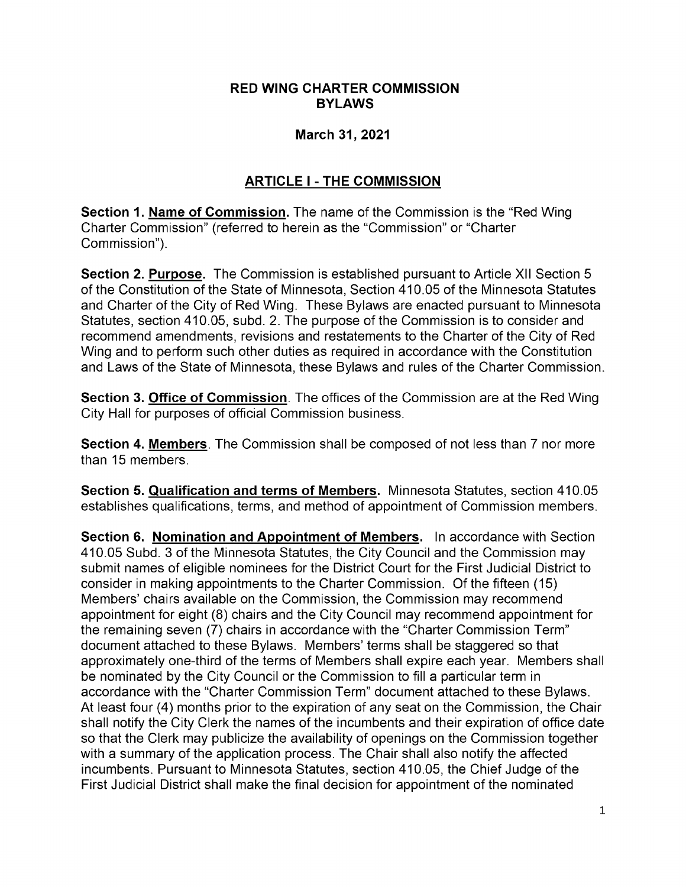#### RED WING CHARTER COMMISSION BYLAWS

#### March 31, 2021

### ARTICLE I - THE COMMISSION

Section 1. Name of Commission. The name of the Commission is the "Red Wing" Charter Commission" ( referred to herein as the " Commission" or "Charter Commission").

**Section 2. Purpose.** The Commission is established pursuant to Article XII Section 5 of the Constitution of the State of Minnesota, Section 410.05 of the Minnesota Statutes and Charter of the City of Red Wing. These Bylaws are enacted pursuant to Minnesota Statutes, section 410.05, subd. 2. The purpose of the Commission is to consider and recommend amendments, revisions and restatements to the Charter of the City of Red Wing and to perform such other duties as required in accordance with the Constitution and Laws of the State of Minnesota, these Bylaws and rules of the Charter Commission.

Section 3. Office of Commission. The offices of the Commission are at the Red Wing City Hall for purposes of official Commission business.

Section 4. Members. The Commission shall be composed of not less than 7 nor more than 15 members.

Section 5. Qualification and terms of Members. Minnesota Statutes, section 410.05 establishes qualifications, terms, and method of appointment of Commission members.

Section 6. Nomination and Appointment of Members. In accordance with Section 410.05 Subd. 3 of the Minnesota Statutes, the City Council and the Commission may submit names of eligible nominees for the District Court for the First Judicial District to consider in making appointments to the Charter Commission. Of the fifteen ( 15) Members' chairs available on the Commission, the Commission may recommend appointment for eight (8) chairs and the City Council may recommend appointment for the remaining seven (7) chairs in accordance with the "Charter Commission Term" document attached to these Bylaws. Members' terms shall be staggered so that approximately one-third of the terms of Members shall expire each year. Members shall be nominated by the City Council or the Commission to fill a particular term in accordance with the "Charter Commission Term" document attached to these Bylaws. At least four (4) months prior to the expiration of any seat on the Commission, the Chair shall notify the City Clerk the names of the incumbents and their expiration of office date so that the Clerk may publicize the availability of openings on the Commission together with a summary of the application process. The Chair shall also notify the affected incumbents. Pursuant to Minnesota Statutes, section 410.05, the Chief Judge of the First Judicial District shall make the final decision for appointment of the nominated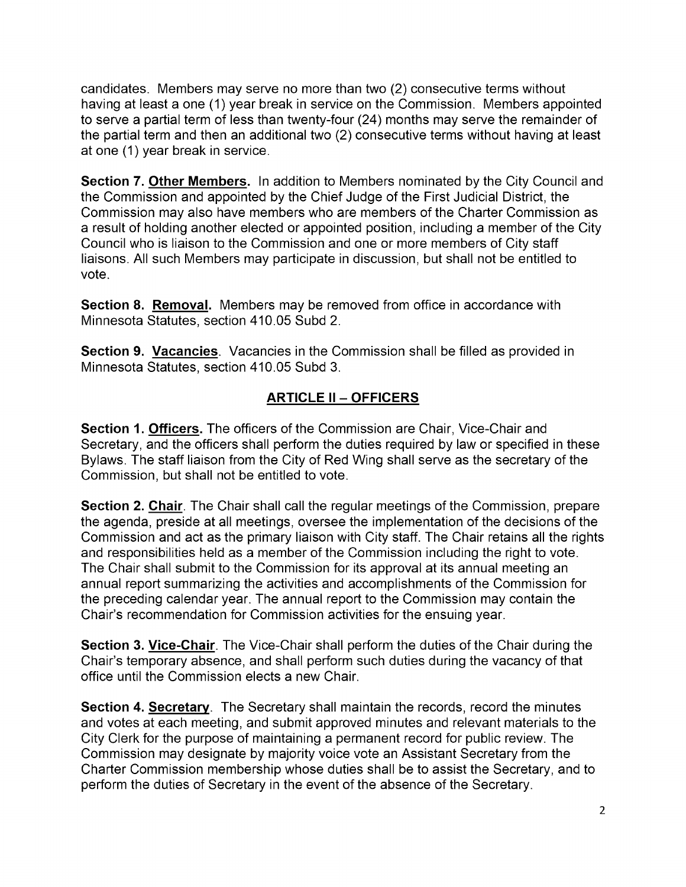candidates. Members may serve no more than two ( 2) consecutive terms without having at least a one (1) year break in service on the Commission. Members appointed to serve a partial term of less than twenty-four (24) months may serve the remainder of the partial term and then an additional two (2) consecutive terms without having at least at one (1) year break in service.

Section 7. Other Members. In addition to Members nominated by the City Council and the Commission and appointed by the Chief Judge of the First Judicial District, the Commission may also have members who are members of the Charter Commission as a result of holding another elected or appointed position, including a member of the City Council who is liaison to the Commission and one or more members of City staff liaisons. All such Members may participate in discussion, but shall not be entitled to vote.

Section 8. Removal. Members may be removed from office in accordance with Minnesota Statutes, section 410.05 Subd 2.

Section 9. Vacancies. Vacancies in the Commission shall be filled as provided in Minnesota Statutes, section 410.05 Subd 3.

## ARTICLE II — OFFICERS

**Section 1. Officers.** The officers of the Commission are Chair, Vice-Chair and Secretary, and the officers shall perform the duties required by law or specified in these Bylaws. The staff liaison from the City of Red Wing shall serve as the secretary of the Commission, but shall not be entitled to vote.

Section 2. Chair. The Chair shall call the regular meetings of the Commission, prepare the agenda, preside at all meetings, oversee the implementation of the decisions of the Commission and act as the primary liaison with City staff. The Chair retains all the rights and responsibilities held as a member of the Commission including the right to vote. The Chair shall submit to the Commission for its approval at its annual meeting an annual report summarizing the activities and accomplishments of the Commission for the preceding calendar year. The annual report to the Commission may contain the Chair's recommendation for Commission activities for the ensuing year.

**Section 3. Vice-Chair**. The Vice-Chair shall perform the duties of the Chair during the Chair's temporary absence, and shall perform such duties during the vacancy of that office until the Commission elects a new Chair.

**Section 4. Secretary**. The Secretary shall maintain the records, record the minutes and votes at each meeting, and submit approved minutes and relevant materials to the City Clerk for the purpose of maintaining a permanent record for public review. The Commission may designate by majority voice vote an Assistant Secretary from the Charter Commission membership whose duties shall be to assist the Secretary, and to perform the duties of Secretary in the event of the absence of the Secretary.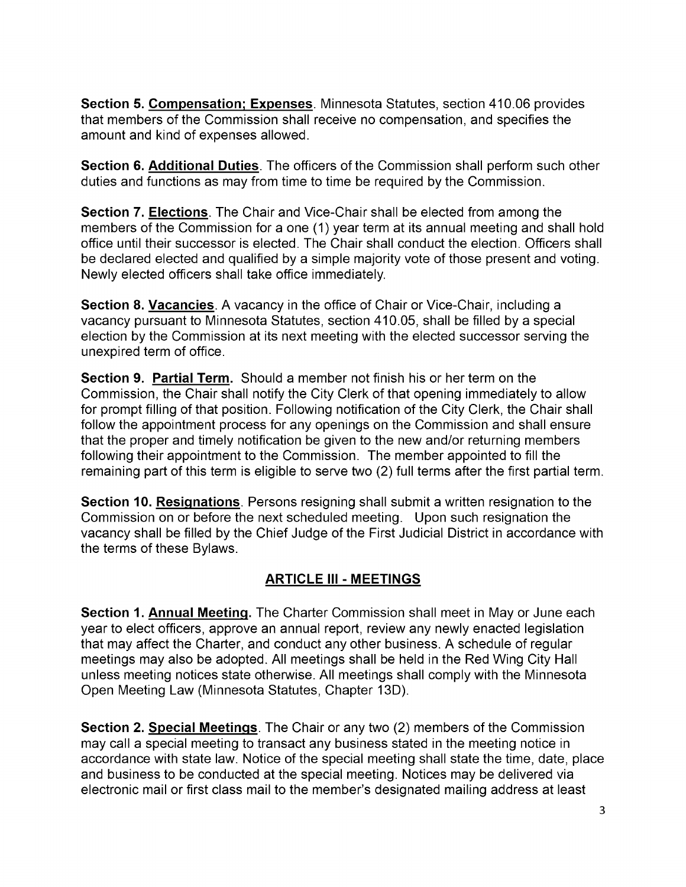Section 5. Compensation; Expenses. Minnesota Statutes, section 410.06 provides that members of the Commission shall receive no compensation, and specifies the amount and kind of expenses allowed.

Section 6. Additional Duties. The officers of the Commission shall perform such other duties and functions as may from time to time be required by the Commission.

Section 7. Elections. The Chair and Vice-Chair shall be elected from among the members of the Commission for a one (1) year term at its annual meeting and shall hold office until their successor is elected. The Chair shall conduct the election. Officers shall be declared elected and qualified by a simple majority vote of those present and voting. Newly elected officers shall take office immediately.

**Section 8. Vacancies**. A vacancy in the office of Chair or Vice-Chair, including a vacancy pursuant to Minnesota Statutes, section 410.05, shall be filled by a special election by the Commission at its next meeting with the elected successor serving the unexpired term of office.

Section 9. Partial Term. Should a member not finish his or her term on the Commission, the Chair shall notify the City Clerk of that opening immediately to allow for prompt filling of that position. Following notification of the City Clerk, the Chair shall follow the appointment process for any openings on the Commission and shall ensure that the proper and timely notification be given to the new and/or returning members following their appointment to the Commission. The member appointed to fill the remaining part of this term is eligible to serve two (2) full terms after the first partial term.

Section 10. Resignations. Persons resigning shall submit a written resignation to the Commission on or before the next scheduled meeting. Upon such resignation the vacancy shall be filled by the Chief Judge of the First Judicial District in accordance with the terms of these Bylaws.

#### ARTICLE III - MEETINGS

Section 1. Annual Meeting. The Charter Commission shall meet in May or June each year to elect officers, approve an annual report, review any newly enacted legislation that may affect the Charter, and conduct any other business. A schedule of regular meetings may also be adopted. All meetings shall be held in the Red Wing City Hall unless meeting notices state otherwise. All meetings shall comply with the Minnesota Open Meeting Law ( Minnesota Statutes, Chapter 13D).

Section 2. Special Meetings. The Chair or any two (2) members of the Commission may call a special meeting to transact any business stated in the meeting notice in accordance with state law. Notice of the special meeting shall state the time, date, place and business to be conducted at the special meeting. Notices may be delivered via electronic mail or first class mail to the member's designated mailing address at least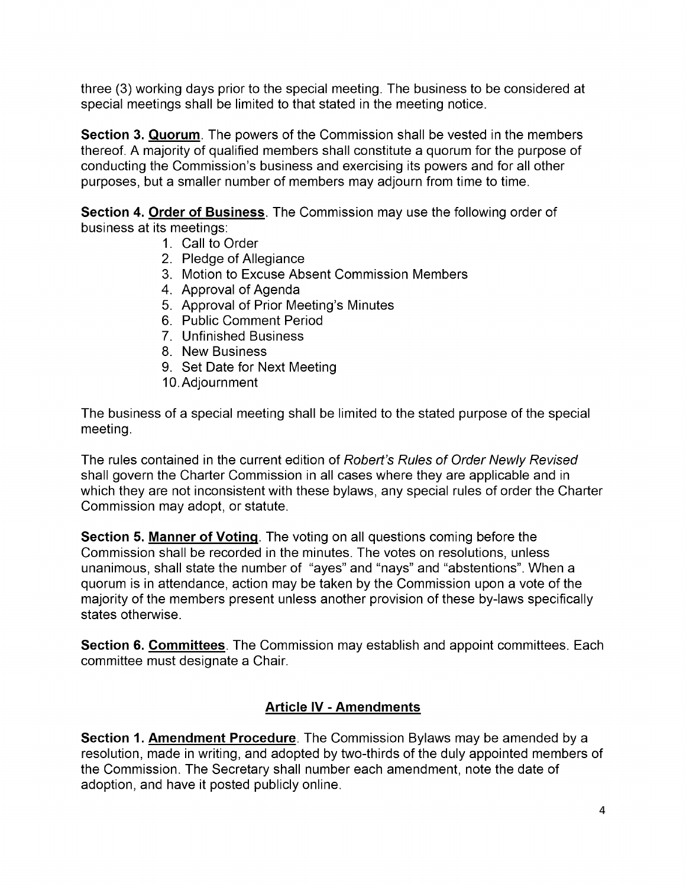three (3) working days prior to the special meeting. The business to be considered at special meetings shall be limited to that stated in the meeting notice.

Section 3. Quorum. The powers of the Commission shall be vested in the members thereof. A majority of qualified members shall constitute a quorum for the purpose of conducting the Commission's business and exercising its powers and for all other purposes, but a smaller number of members may adjourn from time to time.

Section 4. Order of Business. The Commission may use the following order of business at its meetings:

- 1. Call to Order
- 2. Pledge of Allegiance
- 3. Motion to Excuse Absent Commission Members
- 4. Approval of Agenda
- 5. Approval of Prior Meeting's Minutes
- 6. Public Comment Period
- 7. Unfinished Business
- 8. New Business
- 9. Set Date for Next Meeting
- 10. Adjournment

The business of a special meeting shall be limited to the stated purpose of the special meeting.

The rules contained in the current edition of Robert's Rules of Order Newly Revised shall govern the Charter Commission in all cases where they are applicable and in which they are not inconsistent with these bylaws, any special rules of order the Charter Commission may adopt, or statute.

Section 5. Manner of Voting. The voting on all questions coming before the Commission shall be recorded in the minutes. The votes on resolutions, unless unanimous, shall state the number of "ayes" and "nays" and "abstentions". When a quorum is in attendance, action may be taken by the Commission upon a vote of the majority of the members present unless another provision of these by-laws specifically states otherwise.

**Section 6. Committees**. The Commission may establish and appoint committees. Each committee must designate a Chair.

## Article IV - Amendments

Section 1. Amendment Procedure. The Commission Bylaws may be amended by a resolution, made in writing, and adopted by two-thirds of the duly appointed members of the Commission. The Secretary shall number each amendment, note the date of adoption, and have it posted publicly online.